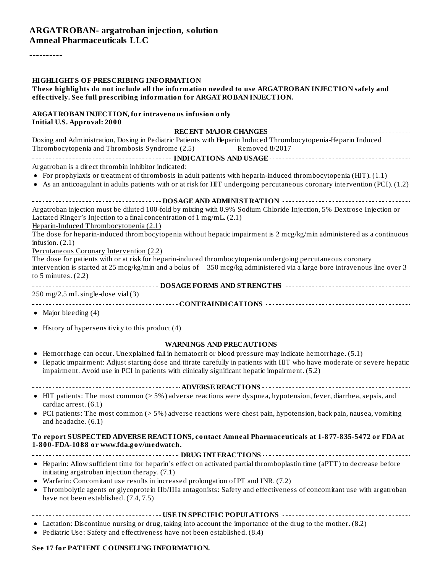#### **ARGATROBAN- argatroban injection, solution Amneal Pharmaceuticals LLC**

----------

| <b>HIGHLIGHTS OF PRESCRIBING INFORMATION</b><br>These highlights do not include all the information needed to use ARGATROBAN INJECTION safely and<br>effectively. See full prescribing information for ARGATROBAN INJECTION.                                                                                                           |
|----------------------------------------------------------------------------------------------------------------------------------------------------------------------------------------------------------------------------------------------------------------------------------------------------------------------------------------|
| ARGATROBAN INJECTION, for intravenous infusion only<br><b>Initial U.S. Approval: 2000</b>                                                                                                                                                                                                                                              |
|                                                                                                                                                                                                                                                                                                                                        |
| Dosing and Administration, Dosing in Pediatric Patients with Heparin Induced Thrombocytopenia-Heparin Induced<br>Thrombocytopenia and Thrombosis Syndrome (2.5)<br>Removed 8/2017                                                                                                                                                      |
|                                                                                                                                                                                                                                                                                                                                        |
| Argatroban is a direct thrombin inhibitor indicated:                                                                                                                                                                                                                                                                                   |
| • For prophylaxis or treatment of thrombosis in adult patients with heparin-induced thrombocytopenia (HIT). (1.1)<br>• As an anticoagulant in adults patients with or at risk for HIT undergoing percutaneous coronary intervention (PCI). (1.2)                                                                                       |
|                                                                                                                                                                                                                                                                                                                                        |
| Argatroban injection must be diluted 100-fold by mixing with 0.9% Sodium Chloride Injection, 5% Dextrose Injection or<br>Lactated Ringer's Injection to a final concentration of 1 mg/mL. (2.1)<br>Heparin-Induced Thrombocytopenia (2.1)                                                                                              |
| The dose for heparin-induced thrombocytopenia without hepatic impairment is 2 mcg/kg/min administered as a continuous<br>infusion. $(2.1)$                                                                                                                                                                                             |
| Percutaneous Coronary Intervention (2.2)                                                                                                                                                                                                                                                                                               |
| The dose for patients with or at risk for heparin-induced thrombocytopenia undergoing percutaneous coronary<br>intervention is started at 25 mcg/kg/min and a bolus of 350 mcg/kg administered via a large bore intravenous line over 3<br>to 5 minutes. $(2.2)$                                                                       |
|                                                                                                                                                                                                                                                                                                                                        |
| 250 mg/2.5 mL single-dose vial (3)                                                                                                                                                                                                                                                                                                     |
| • Major bleeding $(4)$                                                                                                                                                                                                                                                                                                                 |
| • History of hypersensitivity to this product (4)                                                                                                                                                                                                                                                                                      |
|                                                                                                                                                                                                                                                                                                                                        |
| • Hemorrhage can occur. Unexplained fall in hematocrit or blood pressure may indicate hemorrhage. (5.1)<br>• Hepatic impairment: Adjust starting dose and titrate carefully in patients with HIT who have moderate or severe hepatic<br>impairment. Avoid use in PCI in patients with clinically significant hepatic impairment. (5.2) |
|                                                                                                                                                                                                                                                                                                                                        |
| • HIT patients: The most common (> 5%) adverse reactions were dyspnea, hypotension, fever, diarrhea, sepsis, and<br>cardiac arrest. (6.1)                                                                                                                                                                                              |
| • PCI patients: The most common (> 5%) adverse reactions were chest pain, hypotension, back pain, nausea, vomiting<br>and headache. (6.1)                                                                                                                                                                                              |
| To report SUSPECTED ADVERSE REACTIONS, contact Amneal Pharmaceuticals at 1-877-835-5472 or FDA at<br>1-800-FDA-1088 or www.fda.gov/medwatch.                                                                                                                                                                                           |
|                                                                                                                                                                                                                                                                                                                                        |
| • Heparin: Allow sufficient time for heparin's effect on activated partial thromboplastin time (aPTT) to decrease before<br>initiating argatroban injection therapy. (7.1)                                                                                                                                                             |
| Warfarin: Concomitant use results in increased prolongation of PT and INR. (7.2)<br>٠<br>Thrombolytic agents or glycoprotein IIb/IIIa antagonists: Safety and effectiveness of concomitant use with argatroban<br>have not been established. (7.4, 7.5)                                                                                |
|                                                                                                                                                                                                                                                                                                                                        |
| • Lactation: Discontinue nursing or drug, taking into account the importance of the drug to the mother. (8.2)<br>• Pediatric Use: Safety and effectiveness have not been established. (8.4)                                                                                                                                            |

#### **See 17 for PATIENT COUNSELING INFORMATION.**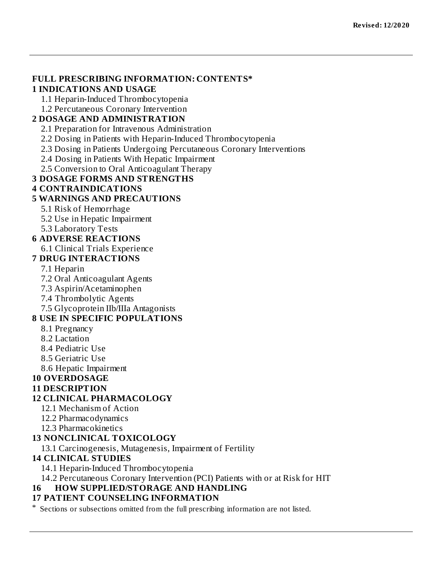### **FULL PRESCRIBING INFORMATION: CONTENTS\***

#### **1 INDICATIONS AND USAGE**

1.1 Heparin-Induced Thrombocytopenia

1.2 Percutaneous Coronary Intervention

### **2 DOSAGE AND ADMINISTRATION**

2.1 Preparation for Intravenous Administration

2.2 Dosing in Patients with Heparin-Induced Thrombocytopenia

2.3 Dosing in Patients Undergoing Percutaneous Coronary Interventions

2.4 Dosing in Patients With Hepatic Impairment

2.5 Conversion to Oral Anticoagulant Therapy

### **3 DOSAGE FORMS AND STRENGTHS**

#### **4 CONTRAINDICATIONS**

#### **5 WARNINGS AND PRECAUTIONS**

5.1 Risk of Hemorrhage

5.2 Use in Hepatic Impairment

5.3 Laboratory Tests

### **6 ADVERSE REACTIONS**

6.1 Clinical Trials Experience

#### **7 DRUG INTERACTIONS**

7.1 Heparin

7.2 Oral Anticoagulant Agents

7.3 Aspirin/Acetaminophen

7.4 Thrombolytic Agents

7.5 Glycoprotein IIb/IIIa Antagonists

#### **8 USE IN SPECIFIC POPULATIONS**

8.1 Pregnancy

8.2 Lactation

- 8.4 Pediatric Use
- 8.5 Geriatric Use
- 8.6 Hepatic Impairment

#### **10 OVERDOSAGE**

#### **11 DESCRIPTION**

#### **12 CLINICAL PHARMACOLOGY**

12.1 Mechanism of Action

- 12.2 Pharmacodynamics
- 12.3 Pharmacokinetics

#### **13 NONCLINICAL TOXICOLOGY**

13.1 Carcinogenesis, Mutagenesis, Impairment of Fertility

#### **14 CLINICAL STUDIES**

14.1 Heparin-Induced Thrombocytopenia

14.2 Percutaneous Coronary Intervention (PCI) Patients with or at Risk for HIT

### **16 HOW SUPPLIED/STORAGE AND HANDLING**

#### **17 PATIENT COUNSELING INFORMATION**

\* Sections or subsections omitted from the full prescribing information are not listed.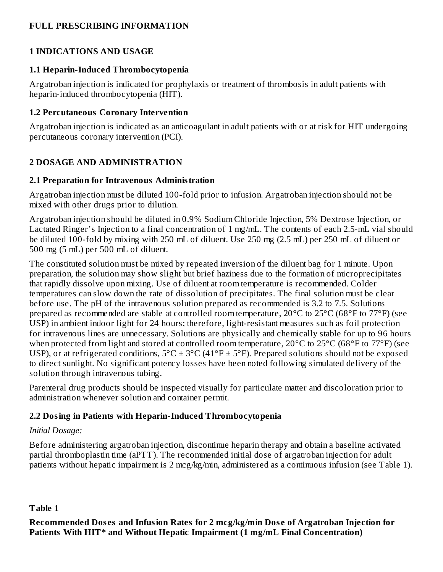### **FULL PRESCRIBING INFORMATION**

### **1 INDICATIONS AND USAGE**

### **1.1 Heparin-Induced Thrombocytopenia**

Argatroban injection is indicated for prophylaxis or treatment of thrombosis in adult patients with heparin-induced thrombocytopenia (HIT).

### **1.2 Percutaneous Coronary Intervention**

Argatroban injection is indicated as an anticoagulant in adult patients with or at risk for HIT undergoing percutaneous coronary intervention (PCI).

# **2 DOSAGE AND ADMINISTRATION**

### **2.1 Preparation for Intravenous Administration**

Argatroban injection must be diluted 100-fold prior to infusion. Argatroban injection should not be mixed with other drugs prior to dilution.

Argatroban injection should be diluted in 0.9% Sodium Chloride Injection, 5% Dextrose Injection, or Lactated Ringer's Injection to a final concentration of 1 mg/mL. The contents of each 2.5-mL vial should be diluted 100-fold by mixing with 250 mL of diluent. Use 250 mg (2.5 mL) per 250 mL of diluent or 500 mg (5 mL) per 500 mL of diluent.

The constituted solution must be mixed by repeated inversion of the diluent bag for 1 minute. Upon preparation, the solution may show slight but brief haziness due to the formation of microprecipitates that rapidly dissolve upon mixing. Use of diluent at room temperature is recommended. Colder temperatures can slow down the rate of dissolution of precipitates. The final solution must be clear before use. The pH of the intravenous solution prepared as recommended is 3.2 to 7.5. Solutions prepared as recommended are stable at controlled room temperature, 20°C to 25°C (68°F to 77°F) (see USP) in ambient indoor light for 24 hours; therefore, light-resistant measures such as foil protection for intravenous lines are unnecessary. Solutions are physically and chemically stable for up to 96 hours when protected from light and stored at controlled room temperature, 20°C to 25°C (68°F to 77°F) (see USP), or at refrigerated conditions,  $5^{\circ}C \pm 3^{\circ}C$  (41°F  $\pm$  5°F). Prepared solutions should not be exposed to direct sunlight. No significant potency losses have been noted following simulated delivery of the solution through intravenous tubing.

Parenteral drug products should be inspected visually for particulate matter and discoloration prior to administration whenever solution and container permit.

# **2.2 Dosing in Patients with Heparin-Induced Thrombocytopenia**

# *Initial Dosage:*

Before administering argatroban injection, discontinue heparin therapy and obtain a baseline activated partial thromboplastin time (aPTT). The recommended initial dose of argatroban injection for adult patients without hepatic impairment is 2 mcg/kg/min, administered as a continuous infusion (see Table 1).

### **Table 1**

**Recommended Dos es and Infusion Rates for 2 mcg/kg/min Dos e of Argatroban Injection for Patients With HIT\* and Without Hepatic Impairment (1 mg/mL Final Concentration)**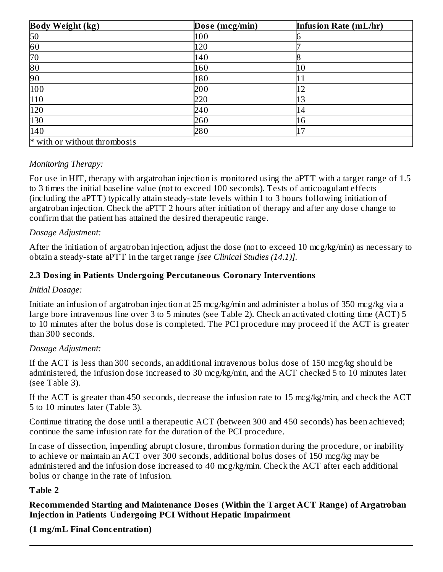| <b>Body Weight (kg)</b>      | Dose (mcg/min) | Infusion Rate (mL/hr) |
|------------------------------|----------------|-----------------------|
| 50                           | 100            |                       |
| 60                           | 120            |                       |
| 70                           | 140            |                       |
| $\overline{80}$              | 160            | 10                    |
| 90                           | 180            | 11                    |
| 100                          | 200            | 12                    |
| 110                          | 220            | 13                    |
| 120                          | 240            | 14                    |
| 130                          | 260            | 16                    |
| 140                          | 280            | 17                    |
| * with or without thrombosis |                |                       |

### *Monitoring Therapy:*

For use in HIT, therapy with argatroban injection is monitored using the aPTT with a target range of 1.5 to 3 times the initial baseline value (not to exceed 100 seconds). Tests of anticoagulant effects (including the aPTT) typically attain steady-state levels within 1 to 3 hours following initiation of argatroban injection. Check the aPTT 2 hours after initiation of therapy and after any dose change to confirm that the patient has attained the desired therapeutic range.

#### *Dosage Adjustment:*

After the initiation of argatroban injection, adjust the dose (not to exceed 10 mcg/kg/min) as necessary to obtain a steady-state aPTT in the target range *[see Clinical Studies (14.1)].*

### **2.3 Dosing in Patients Undergoing Percutaneous Coronary Interventions**

#### *Initial Dosage:*

Initiate an infusion of argatroban injection at 25 mcg/kg/min and administer a bolus of 350 mcg/kg via a large bore intravenous line over 3 to 5 minutes (see Table 2). Check an activated clotting time (ACT) 5 to 10 minutes after the bolus dose is completed. The PCI procedure may proceed if the ACT is greater than 300 seconds.

#### *Dosage Adjustment:*

If the ACT is less than 300 seconds, an additional intravenous bolus dose of 150 mcg/kg should be administered, the infusion dose increased to 30 mcg/kg/min, and the ACT checked 5 to 10 minutes later (see Table 3).

If the ACT is greater than 450 seconds, decrease the infusion rate to 15 mcg/kg/min, and check the ACT 5 to 10 minutes later (Table 3).

Continue titrating the dose until a therapeutic ACT (between 300 and 450 seconds) has been achieved; continue the same infusion rate for the duration of the PCI procedure.

In case of dissection, impending abrupt closure, thrombus formation during the procedure, or inability to achieve or maintain an ACT over 300 seconds, additional bolus doses of 150 mcg/kg may be administered and the infusion dose increased to 40 mcg/kg/min. Check the ACT after each additional bolus or change in the rate of infusion.

### **Table 2**

**Recommended Starting and Maintenance Dos es (Within the Target ACT Range) of Argatroban Injection in Patients Undergoing PCI Without Hepatic Impairment**

**(1 mg/mL Final Concentration)**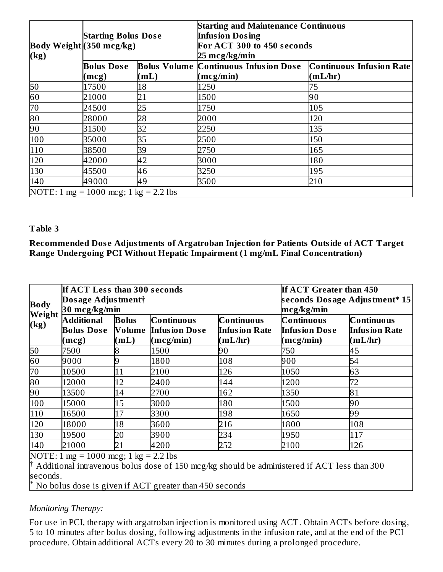| $\log$ | <b>Starting Bolus Dose</b><br>Body Weight (350 mcg/kg) |      | <b>Starting and Maintenance Continuous</b><br><b>Infusion Dosing</b><br>For ACT 300 to 450 seconds<br>25 mcg/kg/min |                                 |  |
|--------|--------------------------------------------------------|------|---------------------------------------------------------------------------------------------------------------------|---------------------------------|--|
|        | <b>Bolus Dose</b>                                      |      | <b>Bolus Volume Continuous Infusion Dose</b>                                                                        | <b>Continuous Infusion Rate</b> |  |
|        | (mcg)                                                  | (mL) | (mcg/min)                                                                                                           | (mL/hr)                         |  |
| 50     | 17500                                                  | 18   | 1250                                                                                                                | 75                              |  |
| 60     | 21000                                                  | 21   | 1500                                                                                                                | 90                              |  |
| 70     | 24500                                                  | 25   | 1750                                                                                                                | 105                             |  |
| 80     | 28000                                                  | 28   | 2000                                                                                                                | 120                             |  |
| 90     | 31500                                                  | 32   | 2250                                                                                                                | 135                             |  |
| 100    | 35000                                                  | 35   | 2500                                                                                                                | 150                             |  |
| 110    | 38500                                                  | 39   | 2750                                                                                                                | 165                             |  |
| 120    | 42000                                                  | 42   | 3000                                                                                                                | 180                             |  |
| 130    | 45500                                                  | 46   | 3250                                                                                                                | 195                             |  |
| 140    | 49000                                                  | 49   | 3500                                                                                                                | 210                             |  |
|        | NOTE: 1 mg = 1000 mcg; 1 kg = 2.2 lbs                  |      |                                                                                                                     |                                 |  |

#### **Table 3**

**Recommended Dos e Adjustments of Argatroban Injection for Patients Outside of ACT Target Range Undergoing PCI Without Hepatic Impairment (1 mg/mL Final Concentration)**

| <b>Body</b><br>Weight                                 | If ACT Less than 300 seconds<br>Dosage Adjustment†<br>30 mcg/kg/min |                      | If ACT Greater than 450<br>seconds Dosage Adjustment* 15<br>mcg/kg/min |                                               |                                                        |                                                      |
|-------------------------------------------------------|---------------------------------------------------------------------|----------------------|------------------------------------------------------------------------|-----------------------------------------------|--------------------------------------------------------|------------------------------------------------------|
| (kg)                                                  | <b>Additional</b><br>(mcg)                                          | <b>Bolus</b><br>(mL) | Continuous<br><b>Bolus Dose</b> Volume Infusion Dose<br>(mcg/min)      | Continuous<br><b>Infusion Rate</b><br>(mL/hr) | <b>Continuous</b><br><b>Infusion Dose</b><br>(mcg/min) | <b>Continuous</b><br><b>Infusion Rate</b><br>(mL/hr) |
| $\frac{50}{60}$<br>$\frac{60}{70}$<br>$\frac{80}{90}$ | 7500                                                                | R                    | 1500                                                                   | 90                                            | 750                                                    | 45                                                   |
|                                                       | 9000                                                                |                      | 1800                                                                   | 108                                           | 900                                                    | 54                                                   |
|                                                       | 10500                                                               | 11                   | 2100                                                                   | 126                                           | 1050                                                   | 63                                                   |
|                                                       | 12000                                                               | 12                   | 2400                                                                   | 144                                           | 1200                                                   | 72                                                   |
|                                                       | 13500                                                               | 14                   | 2700                                                                   | 162                                           | 1350                                                   | 81                                                   |
| 100                                                   | 15000                                                               | 15                   | 3000                                                                   | 180                                           | 1500                                                   | 90                                                   |
|                                                       | 16500                                                               | 17                   | 3300                                                                   | 198                                           | 1650                                                   | 99                                                   |
| $\frac{110}{120}$                                     | 18000                                                               | 18                   | 3600                                                                   | 216                                           | 1800                                                   | 108                                                  |
|                                                       | 19500                                                               | 20                   | 3900                                                                   | 234                                           | 1950                                                   | 117                                                  |
| $\frac{130}{140}$<br>$\overline{\phantom{a}1000}$     | 21000<br>$\lambda$ $\sim$ $\sim$                                    | 21<br>$\sim$ 1.      | 4200<br><b>CCC</b> 11                                                  | 252                                           | 2100                                                   | 126                                                  |

NOTE: 1 mg = 1000 mcg; 1 kg = 2.2 lbs

 $\dagger$  Additional intravenous bolus dose of 150 mcg/kg should be administered if ACT less than 300 seconds.

No bolus dose is given if ACT greater than 450 seconds \*

### *Monitoring Therapy:*

For use in PCI, therapy with argatroban injection is monitored using ACT. Obtain ACTs before dosing, 5 to 10 minutes after bolus dosing, following adjustments in the infusion rate, and at the end of the PCI procedure. Obtain additional ACTs every 20 to 30 minutes during a prolonged procedure.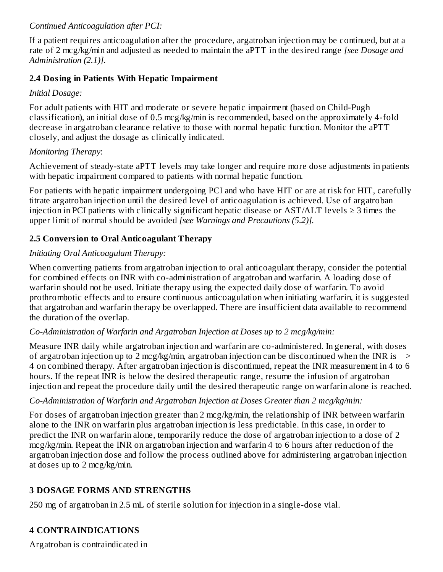### *Continued Anticoagulation after PCI:*

If a patient requires anticoagulation after the procedure, argatroban injection may be continued, but at a rate of 2 mcg/kg/min and adjusted as needed to maintain the aPTT in the desired range *[see Dosage and Administration (2.1)].*

### **2.4 Dosing in Patients With Hepatic Impairment**

### *Initial Dosage:*

For adult patients with HIT and moderate or severe hepatic impairment (based on Child-Pugh classification), an initial dose of 0.5 mcg/kg/min is recommended, based on the approximately 4-fold decrease in argatroban clearance relative to those with normal hepatic function. Monitor the aPTT closely, and adjust the dosage as clinically indicated.

### *Monitoring Therapy*:

Achievement of steady-state aPTT levels may take longer and require more dose adjustments in patients with hepatic impairment compared to patients with normal hepatic function.

For patients with hepatic impairment undergoing PCI and who have HIT or are at risk for HIT, carefully titrate argatroban injection until the desired level of anticoagulation is achieved. Use of argatroban injection in PCI patients with clinically significant hepatic disease or  $AST/ALT$  levels  $\geq 3$  times the upper limit of normal should be avoided *[see Warnings and Precautions (5.2)].*

# **2.5 Conversion to Oral Anticoagulant Therapy**

# *Initiating Oral Anticoagulant Therapy:*

When converting patients from argatroban injection to oral anticoagulant therapy, consider the potential for combined effects on INR with co-administration of argatroban and warfarin. A loading dose of warfarin should not be used. Initiate therapy using the expected daily dose of warfarin. To avoid prothrombotic effects and to ensure continuous anticoagulation when initiating warfarin, it is suggested that argatroban and warfarin therapy be overlapped. There are insufficient data available to recommend the duration of the overlap.

# *Co-Administration of Warfarin and Argatroban Injection at Doses up to 2 mcg/kg/min:*

Measure INR daily while argatroban injection and warfarin are co-administered. In general, with doses of argatroban injection up to 2 mcg/kg/min, argatroban injection can be discontinued when the INR is  $\rightarrow$ 4 on combined therapy. After argatroban injection is discontinued, repeat the INR measurement in 4 to 6 hours. If the repeat INR is below the desired therapeutic range, resume the infusion of argatroban injection and repeat the procedure daily until the desired therapeutic range on warfarin alone is reached.

# *Co-Administration of Warfarin and Argatroban Injection at Doses Greater than 2 mcg/kg/min:*

For doses of argatroban injection greater than 2 mcg/kg/min, the relationship of INR between warfarin alone to the INR on warfarin plus argatroban injection is less predictable. In this case, in order to predict the INR on warfarin alone, temporarily reduce the dose of argatroban injection to a dose of 2 mcg/kg/min. Repeat the INR on argatroban injection and warfarin 4 to 6 hours after reduction of the argatroban injection dose and follow the process outlined above for administering argatroban injection at doses up to 2 mcg/kg/min.

# **3 DOSAGE FORMS AND STRENGTHS**

250 mg of argatroban in 2.5 mL of sterile solution for injection in a single-dose vial.

# **4 CONTRAINDICATIONS**

Argatroban is contraindicated in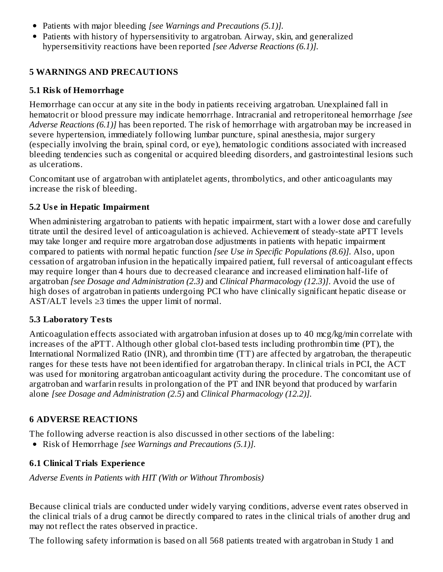- Patients with major bleeding *[see Warnings and Precautions (5.1)].*
- Patients with history of hypersensitivity to argatroban. Airway, skin, and generalized hypersensitivity reactions have been reported *[see Adverse Reactions (6.1)].*

# **5 WARNINGS AND PRECAUTIONS**

### **5.1 Risk of Hemorrhage**

Hemorrhage can occur at any site in the body in patients receiving argatroban. Unexplained fall in hematocrit or blood pressure may indicate hemorrhage. Intracranial and retroperitoneal hemorrhage *[see Adverse Reactions (6.1)]* has been reported. The risk of hemorrhage with argatroban may be increased in severe hypertension, immediately following lumbar puncture, spinal anesthesia, major surgery (especially involving the brain, spinal cord, or eye), hematologic conditions associated with increased bleeding tendencies such as congenital or acquired bleeding disorders, and gastrointestinal lesions such as ulcerations.

Concomitant use of argatroban with antiplatelet agents, thrombolytics, and other anticoagulants may increase the risk of bleeding.

### **5.2 Us e in Hepatic Impairment**

When administering argatroban to patients with hepatic impairment, start with a lower dose and carefully titrate until the desired level of anticoagulation is achieved. Achievement of steady-state aPTT levels may take longer and require more argatroban dose adjustments in patients with hepatic impairment compared to patients with normal hepatic function *[see Use in Specific Populations (8.6)].* Also, upon cessation of argatroban infusion in the hepatically impaired patient, full reversal of anticoagulant effects may require longer than 4 hours due to decreased clearance and increased elimination half-life of argatroban *[see Dosage and Administration (2.3)* and *Clinical Pharmacology (12.3)]*. Avoid the use of high doses of argatroban in patients undergoing PCI who have clinically significant hepatic disease or AST/ALT levels  $\geq$ 3 times the upper limit of normal.

### **5.3 Laboratory Tests**

Anticoagulation effects associated with argatroban infusion at doses up to 40 mcg/kg/min correlate with increases of the aPTT. Although other global clot-based tests including prothrombin time (PT), the International Normalized Ratio (INR), and thrombin time (TT) are affected by argatroban, the therapeutic ranges for these tests have not been identified for argatroban therapy. In clinical trials in PCI, the ACT was used for monitoring argatroban anticoagulant activity during the procedure. The concomitant use of argatroban and warfarin results in prolongation of the PT and INR beyond that produced by warfarin alone *[see Dosage and Administration (2.5)* and *Clinical Pharmacology (12.2)].*

# **6 ADVERSE REACTIONS**

The following adverse reaction is also discussed in other sections of the labeling:

Risk of Hemorrhage *[see Warnings and Precautions (5.1)].*

# **6.1 Clinical Trials Experience**

*Adverse Events in Patients with HIT (With or Without Thrombosis)*

Because clinical trials are conducted under widely varying conditions, adverse event rates observed in the clinical trials of a drug cannot be directly compared to rates in the clinical trials of another drug and may not reflect the rates observed in practice.

The following safety information is based on all 568 patients treated with argatroban in Study 1 and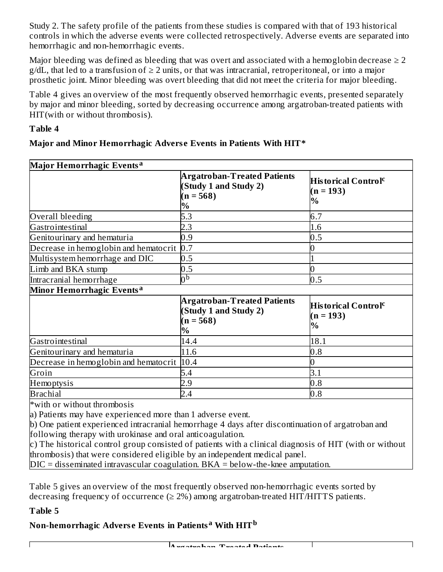Study 2. The safety profile of the patients from these studies is compared with that of 193 historical controls in which the adverse events were collected retrospectively. Adverse events are separated into hemorrhagic and non-hemorrhagic events.

Major bleeding was defined as bleeding that was overt and associated with a hemoglobin decrease  $\geq 2$  $g/dL$ , that led to a transfusion of  $\geq 2$  units, or that was intracranial, retroperitoneal, or into a major prosthetic joint. Minor bleeding was overt bleeding that did not meet the criteria for major bleeding.

Table 4 gives an overview of the most frequently observed hemorrhagic events, presented separately by major and minor bleeding, sorted by decreasing occurrence among argatroban-treated patients with HIT(with or without thrombosis).

### **Table 4**

### **Major and Minor Hemorrhagic Advers e Events in Patients With HIT\***

| Major Hemorrhagic Events <sup>a</sup>                     |                                                                                    |                                                          |  |  |
|-----------------------------------------------------------|------------------------------------------------------------------------------------|----------------------------------------------------------|--|--|
|                                                           | <b>Argatroban-Treated Patients</b><br>(Study 1 and Study 2)<br>$(n = 568)$<br>$\%$ | His torical Control $^\mathsf{c}$<br>$(n = 193)$<br>$\%$ |  |  |
| Overall bleeding                                          | 5.3                                                                                | 6.7                                                      |  |  |
| Gastrointestinal                                          | 2.3                                                                                | 1.6                                                      |  |  |
| Genitourinary and hematuria                               | 0.9                                                                                | 0.5                                                      |  |  |
| Decrease in hemoglobin and hematocrit $\vert 0.7 \rangle$ |                                                                                    |                                                          |  |  |
| Multisystem hemorrhage and DIC                            | 0.5                                                                                |                                                          |  |  |
| Limb and BKA stump                                        | 0.5                                                                                |                                                          |  |  |
| Intracranial hemorrhage                                   | 0 <sub>p</sub>                                                                     | 0.5                                                      |  |  |
| Minor Hemorrhagic Events <sup>a</sup>                     |                                                                                    |                                                          |  |  |
|                                                           | <b>Argatroban-Treated Patients</b><br>(Study 1 and Study 2)<br>$(n = 568)$<br>$\%$ | His torical Control $^\mathsf{c}$<br>$(n = 193)$<br>$\%$ |  |  |
| Gastrointestinal                                          | 14.4                                                                               | 18.1                                                     |  |  |
| Genitourinary and hematuria                               | 11.6                                                                               | 0.8                                                      |  |  |
| Decrease in hemoglobin and hematocrit 10.4                |                                                                                    |                                                          |  |  |
| Groin                                                     | 5.4                                                                                | 3.1                                                      |  |  |
| Hemoptysis                                                | 2.9                                                                                | 0.8                                                      |  |  |
| <b>Brachial</b>                                           | 2.4                                                                                | 0.8                                                      |  |  |
| $*$ with or without thrombosis                            |                                                                                    |                                                          |  |  |

with or without thrombosis

a) Patients may have experienced more than 1 adverse event.

b) One patient experienced intracranial hemorrhage 4 days after discontinuation of argatroban and following therapy with urokinase and oral anticoagulation.

c) The historical control group consisted of patients with a clinical diagnosis of HIT (with or without thrombosis) that were considered eligible by an independent medical panel.

DIC = disseminated intravascular coagulation. BKA = below-the-knee amputation.

Table 5 gives an overview of the most frequently observed non-hemorrhagic events sorted by decreasing frequency of occurrence  $(\geq 2\%)$  among argatroban-treated HIT/HITTS patients.

#### **Table 5**

# **Non-hemorrhagic Advers e Events in Patients With HIT a b**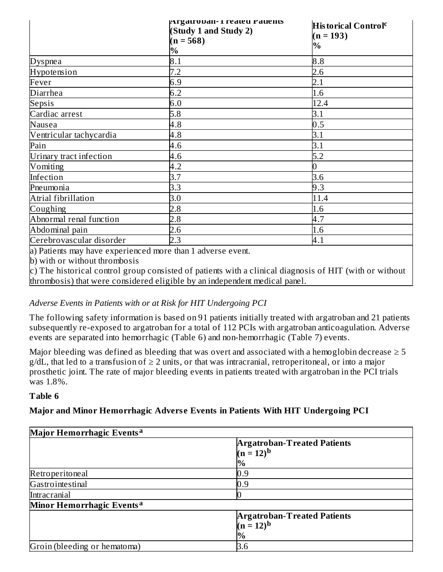|                          | Argatrovan- 1 reated Patients<br>(Study 1 and Study 2) | <b>Historical Control</b> <sup>c</sup><br>$(n = 193)$ |
|--------------------------|--------------------------------------------------------|-------------------------------------------------------|
|                          | $(n = 568)$<br>$\%$                                    | $\%$                                                  |
| <b>Dyspnea</b>           | 8.1                                                    | 8.8                                                   |
| Hypotension              | 7.2                                                    | 2.6                                                   |
| Fever                    | 6.9                                                    | 2.1                                                   |
| Diarrhea                 | 6.2                                                    | 1.6                                                   |
| Sepsis                   | 6.0                                                    | 12.4                                                  |
| Cardiac arrest           | 5.8                                                    | 3.1                                                   |
| Nausea                   | 4.8                                                    | 0.5                                                   |
| Ventricular tachycardia  | 4.8                                                    | 3.1                                                   |
| Pain                     | 4.6                                                    | 3.1                                                   |
| Urinary tract infection  | 4.6                                                    | 5.2                                                   |
| Vomiting                 | 4.2                                                    | 0                                                     |
| Infection                | 3.7                                                    | 3.6                                                   |
| Pneumonia                | 3.3                                                    | 9.3                                                   |
| Atrial fibrillation      | 3.0                                                    | 11.4                                                  |
| Coughing                 | 2.8                                                    | 1.6                                                   |
| Abnormal renal function  | 2.8                                                    | 4.7                                                   |
| Abdominal pain           | 2.6                                                    | 1.6                                                   |
| Cerebrovascular disorder | 2.3                                                    | 4.1                                                   |

a) Patients may have experienced more than 1 adverse event.

b) with or without thrombosis

c) The historical control group consisted of patients with a clinical diagnosis of HIT (with or without thrombosis) that were considered eligible by an independent medical panel.

### *Adverse Events in Patients with or at Risk for HIT Undergoing PCI*

The following safety information is based on 91 patients initially treated with argatroban and 21 patients subsequently re-exposed to argatroban for a total of 112 PCIs with argatroban anticoagulation. Adverse events are separated into hemorrhagic (Table 6) and non-hemorrhagic (Table 7) events.

Major bleeding was defined as bleeding that was overt and associated with a hemoglobin decrease  $\geq 5$  $g/dL$ , that led to a transfusion of  $\geq 2$  units, or that was intracranial, retroperitoneal, or into a major prosthetic joint. The rate of major bleeding events in patients treated with argatroban in the PCI trials was 1.8%.

### **Table 6**

### **Major and Minor Hemorrhagic Advers e Events in Patients With HIT Undergoing PCI**

| Major Hemorrhagic Events <sup>a</sup> |                                                           |  |  |  |
|---------------------------------------|-----------------------------------------------------------|--|--|--|
|                                       | <b>Argatroban-Treated Patients</b><br>$(n = 12)^{b}$<br>% |  |  |  |
| Retroperitoneal                       | $_{\rm 0.9}$                                              |  |  |  |
| Gastrointestinal                      | $^{0.9}$                                                  |  |  |  |
| Intracranial                          |                                                           |  |  |  |
| Minor Hemorrhagic Events <sup>a</sup> |                                                           |  |  |  |
|                                       | <b>Argatroban-Treated Patients</b>                        |  |  |  |
|                                       | $(n = 12)^{b}$                                            |  |  |  |
|                                       | $\%$                                                      |  |  |  |
| Groin (bleeding or hematoma)          | 3.6                                                       |  |  |  |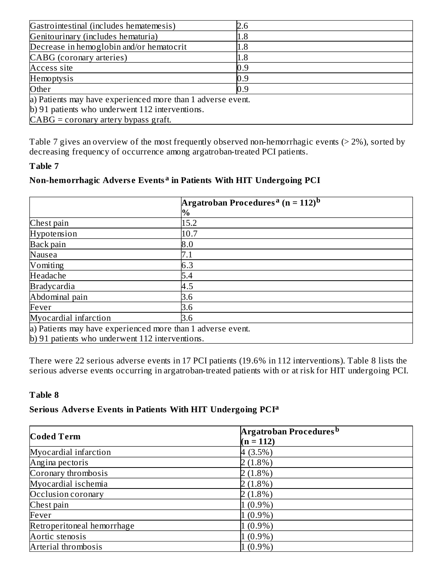| Gastrointestinal (includes hematemesis)                     | 2.6 |  |  |  |
|-------------------------------------------------------------|-----|--|--|--|
| Genitourinary (includes hematuria)                          | 1.8 |  |  |  |
| Decrease in hemoglobin and/or hematocrit                    | 1.8 |  |  |  |
| CABG (coronary arteries)                                    | 1.8 |  |  |  |
| Access site                                                 | 0.9 |  |  |  |
| Hemoptysis                                                  | 0.9 |  |  |  |
| Other                                                       | 0.9 |  |  |  |
| a) Patients may have experienced more than 1 adverse event. |     |  |  |  |
| b) 91 patients who underwent 112 interventions.             |     |  |  |  |
| $CABG =$ coronary artery bypass graft.                      |     |  |  |  |

Table 7 gives an overview of the most frequently observed non-hemorrhagic events (> 2%), sorted by decreasing frequency of occurrence among argatroban-treated PCI patients.

#### **Table 7**

### **Non-hemorrhagic Advers e Events in Patients With HIT Undergoing PCI a**

|                                                             | Argatroban Procedures <sup>a</sup> (n = 112) <sup>b</sup> |  |  |  |
|-------------------------------------------------------------|-----------------------------------------------------------|--|--|--|
|                                                             | $\%$                                                      |  |  |  |
| Chest pain                                                  | 15.2                                                      |  |  |  |
| Hypotension                                                 | 10.7                                                      |  |  |  |
| Back pain                                                   | 8.0                                                       |  |  |  |
| Nausea                                                      | 7.1                                                       |  |  |  |
| Vomiting                                                    | 6.3                                                       |  |  |  |
| Headache                                                    | 5.4                                                       |  |  |  |
| <b>Bradycardia</b>                                          | 4.5                                                       |  |  |  |
| Abdominal pain                                              | 3.6                                                       |  |  |  |
| Fever                                                       | 3.6                                                       |  |  |  |
| Myocardial infarction                                       | 3.6                                                       |  |  |  |
| a) Patients may have experienced more than 1 adverse event. |                                                           |  |  |  |
| b) 91 patients who underwent 112 interventions.             |                                                           |  |  |  |

There were 22 serious adverse events in 17 PCI patients (19.6% in 112 interventions). Table 8 lists the serious adverse events occurring in argatroban-treated patients with or at risk for HIT undergoing PCI.

### **Table 8**

### **Serious Advers e Events in Patients With HIT Undergoing PCI a**

| <b>Coded Term</b>          | Argatroban Procedures <sup>b</sup> |
|----------------------------|------------------------------------|
|                            | $(n = 112)$                        |
| Myocardial infarction      | 4(3.5%)                            |
| Angina pectoris            | $2(1.8\%)$                         |
| Coronary thrombosis        | $2(1.8\%)$                         |
| Myocardial ischemia        | $2(1.8\%)$                         |
| Occlusion coronary         | $2(1.8\%)$                         |
| Chest pain                 | $1(0.9\%)$                         |
| Fever                      | $1(0.9\%)$                         |
| Retroperitoneal hemorrhage | $1(0.9\%)$                         |
| Aortic stenosis            | $1(0.9\%)$                         |
| Arterial thrombosis        | $1(0.9\%)$                         |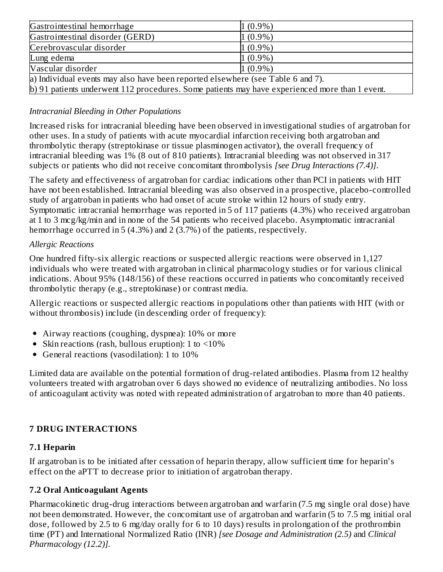| Gastrointestinal hemorrhage                                                                    | $1(0.9\%)$ |
|------------------------------------------------------------------------------------------------|------------|
| Gastrointestinal disorder (GERD)                                                               | $1(0.9\%)$ |
| Cerebrovascular disorder                                                                       | $1(0.9\%)$ |
| Lung edema                                                                                     | $1(0.9\%)$ |
| Vascular disorder                                                                              | $1(0.9\%)$ |
| a) Individual events may also have been reported elsewhere (see Table 6 and 7).                |            |
| b) 91 patients underwent 112 procedures. Some patients may have experienced more than 1 event. |            |

# *Intracranial Bleeding in Other Populations*

Increased risks for intracranial bleeding have been observed in investigational studies of argatroban for other uses. In a study of patients with acute myocardial infarction receiving both argatroban and thrombolytic therapy (streptokinase or tissue plasminogen activator), the overall frequency of intracranial bleeding was 1% (8 out of 810 patients). Intracranial bleeding was not observed in 317 subjects or patients who did not receive concomitant thrombolysis *[see Drug Interactions (7.4)]*.

The safety and effectiveness of argatroban for cardiac indications other than PCI in patients with HIT have not been established. Intracranial bleeding was also observed in a prospective, placebo-controlled study of argatroban in patients who had onset of acute stroke within 12 hours of study entry. Symptomatic intracranial hemorrhage was reported in 5 of 117 patients (4.3%) who received argatroban at 1 to 3 mcg/kg/min and in none of the 54 patients who received placebo. Asymptomatic intracranial hemorrhage occurred in 5 (4.3%) and 2 (3.7%) of the patients, respectively.

### *Allergic Reactions*

One hundred fifty-six allergic reactions or suspected allergic reactions were observed in 1,127 individuals who were treated with argatroban in clinical pharmacology studies or for various clinical indications. About 95% (148/156) of these reactions occurred in patients who concomitantly received thrombolytic therapy (e.g., streptokinase) or contrast media.

Allergic reactions or suspected allergic reactions in populations other than patients with HIT (with or without thrombosis) include (in descending order of frequency):

- Airway reactions (coughing, dyspnea): 10% or more
- Skin reactions (rash, bullous eruption): 1 to  $\leq 10\%$
- General reactions (vasodilation): 1 to 10%  $\bullet$

Limited data are available on the potential formation of drug-related antibodies. Plasma from 12 healthy volunteers treated with argatroban over 6 days showed no evidence of neutralizing antibodies. No loss of anticoagulant activity was noted with repeated administration of argatroban to more than 40 patients.

# **7 DRUG INTERACTIONS**

### **7.1 Heparin**

If argatroban is to be initiated after cessation of heparin therapy, allow sufficient time for heparin's effect on the aPTT to decrease prior to initiation of argatroban therapy.

# **7.2 Oral Anticoagulant Agents**

Pharmacokinetic drug-drug interactions between argatroban and warfarin (7.5 mg single oral dose) have not been demonstrated. However, the concomitant use of argatroban and warfarin (5 to 7.5 mg initial oral dose, followed by 2.5 to 6 mg/day orally for 6 to 10 days) results in prolongation of the prothrombin time (PT) and International Normalized Ratio (INR) *[see Dosage and Administration (2.5)* and *Clinical Pharmacology (12.2)].*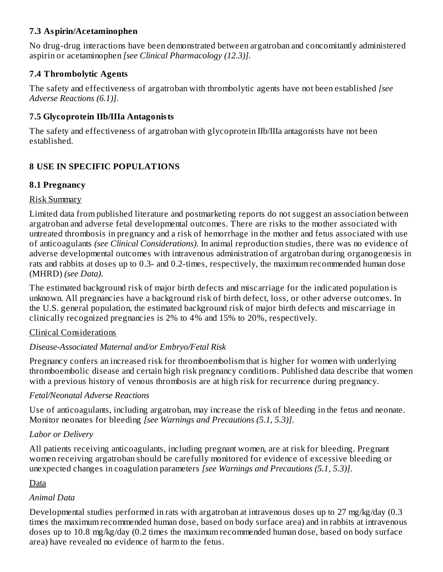### **7.3 Aspirin/Acetaminophen**

No drug-drug interactions have been demonstrated between argatroban and concomitantly administered aspirin or acetaminophen *[see Clinical Pharmacology (12.3)].*

# **7.4 Thrombolytic Agents**

The safety and effectiveness of argatroban with thrombolytic agents have not been established *[see Adverse Reactions (6.1)].*

# **7.5 Glycoprotein IIb/IIIa Antagonists**

The safety and effectiveness of argatroban with glycoprotein IIb/IIIa antagonists have not been established.

# **8 USE IN SPECIFIC POPULATIONS**

# **8.1 Pregnancy**

### Risk Summary

Limited data from published literature and postmarketing reports do not suggest an association between argatroban and adverse fetal developmental outcomes. There are risks to the mother associated with untreated thrombosis in pregnancy and a risk of hemorrhage in the mother and fetus associated with use of anticoagulants *(see Clinical Considerations)*. In animal reproduction studies, there was no evidence of adverse developmental outcomes with intravenous administration of argatroban during organogenesis in rats and rabbits at doses up to 0.3- and 0.2-times, respectively, the maximum recommended human dose (MHRD) *(see Data)*.

The estimated background risk of major birth defects and miscarriage for the indicated population is unknown. All pregnancies have a background risk of birth defect, loss, or other adverse outcomes. In the U.S. general population, the estimated background risk of major birth defects and miscarriage in clinically recognized pregnancies is 2% to 4% and 15% to 20%, respectively.

# Clinical Considerations

# *Disease-Associated Maternal and/or Embryo/Fetal Risk*

Pregnancy confers an increased risk for thromboembolism that is higher for women with underlying thromboembolic disease and certain high risk pregnancy conditions. Published data describe that women with a previous history of venous thrombosis are at high risk for recurrence during pregnancy.

# *Fetal/Neonatal Adverse Reactions*

Use of anticoagulants, including argatroban, may increase the risk of bleeding in the fetus and neonate. Monitor neonates for bleeding *[see Warnings and Precautions (5.1, 5.3)]*.

# *Labor or Delivery*

All patients receiving anticoagulants, including pregnant women, are at risk for bleeding. Pregnant women receiving argatroban should be carefully monitored for evidence of excessive bleeding or unexpected changes in coagulation parameters *[see Warnings and Precautions (5.1, 5.3)]*.

# Data

# *Animal Data*

Developmental studies performed in rats with argatroban at intravenous doses up to 27 mg/kg/day (0.3 times the maximum recommended human dose, based on body surface area) and in rabbits at intravenous doses up to 10.8 mg/kg/day (0.2 times the maximum recommended human dose, based on body surface area) have revealed no evidence of harm to the fetus.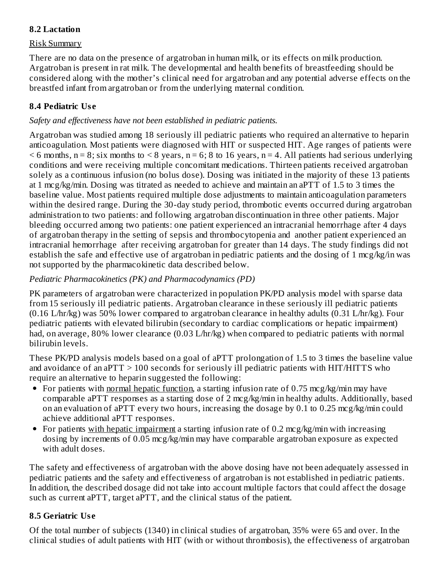### **8.2 Lactation**

### Risk Summary

There are no data on the presence of argatroban in human milk, or its effects on milk production. Argatroban is present in rat milk. The developmental and health benefits of breastfeeding should be considered along with the mother's clinical need for argatroban and any potential adverse effects on the breastfed infant from argatroban or from the underlying maternal condition.

### **8.4 Pediatric Us e**

### *Safety and effectiveness have not been established in pediatric patients.*

Argatroban was studied among 18 seriously ill pediatric patients who required an alternative to heparin anticoagulation. Most patients were diagnosed with HIT or suspected HIT. Age ranges of patients were  $<$  6 months, n = 8; six months to  $<$  8 years, n = 6; 8 to 16 years, n = 4. All patients had serious underlying conditions and were receiving multiple concomitant medications. Thirteen patients received argatroban solely as a continuous infusion (no bolus dose). Dosing was initiated in the majority of these 13 patients at 1 mcg/kg/min. Dosing was titrated as needed to achieve and maintain an aPTT of 1.5 to 3 times the baseline value. Most patients required multiple dose adjustments to maintain anticoagulation parameters within the desired range. During the 30-day study period, thrombotic events occurred during argatroban administration to two patients: and following argatroban discontinuation in three other patients. Major bleeding occurred among two patients: one patient experienced an intracranial hemorrhage after 4 days of argatroban therapy in the setting of sepsis and thrombocytopenia and another patient experienced an intracranial hemorrhage after receiving argatroban for greater than 14 days. The study findings did not establish the safe and effective use of argatroban in pediatric patients and the dosing of 1 mcg/kg/in was not supported by the pharmacokinetic data described below.

### *Pediatric Pharmacokinetics (PK) and Pharmacodynamics (PD)*

PK parameters of argatroban were characterized in population PK/PD analysis model with sparse data from 15 seriously ill pediatric patients. Argatroban clearance in these seriously ill pediatric patients (0.16 L/hr/kg) was 50% lower compared to argatroban clearance in healthy adults (0.31 L/hr/kg). Four pediatric patients with elevated bilirubin (secondary to cardiac complications or hepatic impairment) had, on average, 80% lower clearance (0.03 L/hr/kg) when compared to pediatric patients with normal bilirubin levels.

These PK/PD analysis models based on a goal of aPTT prolongation of 1.5 to 3 times the baseline value and avoidance of an aPTT  $> 100$  seconds for seriously ill pediatric patients with HIT/HITTS who require an alternative to heparin suggested the following:

- For patients with normal hepatic function, a starting infusion rate of 0.75 mcg/kg/min may have comparable aPTT responses as a starting dose of 2 mcg/kg/min in healthy adults. Additionally, based on an evaluation of aPTT every two hours, increasing the dosage by 0.1 to 0.25 mcg/kg/min could achieve additional aPTT responses.
- For patients with hepatic impairment a starting infusion rate of 0.2 mcg/kg/min with increasing dosing by increments of 0.05 mcg/kg/min may have comparable argatroban exposure as expected with adult doses.

The safety and effectiveness of argatroban with the above dosing have not been adequately assessed in pediatric patients and the safety and effectiveness of argatroban is not established in pediatric patients. In addition, the described dosage did not take into account multiple factors that could affect the dosage such as current aPTT, target aPTT, and the clinical status of the patient.

# **8.5 Geriatric Us e**

Of the total number of subjects (1340) in clinical studies of argatroban, 35% were 65 and over. In the clinical studies of adult patients with HIT (with or without thrombosis), the effectiveness of argatroban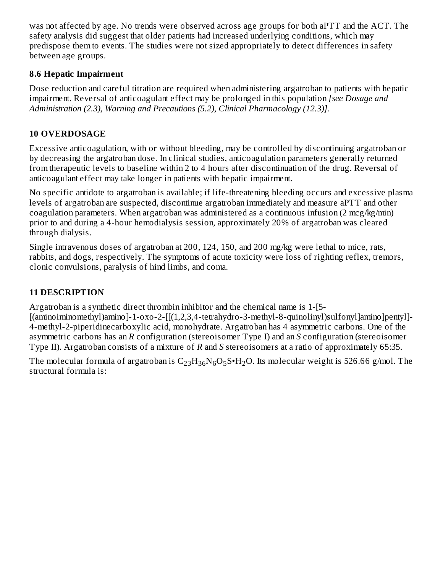was not affected by age. No trends were observed across age groups for both aPTT and the ACT. The safety analysis did suggest that older patients had increased underlying conditions, which may predispose them to events. The studies were not sized appropriately to detect differences in safety between age groups.

# **8.6 Hepatic Impairment**

Dose reduction and careful titration are required when administering argatroban to patients with hepatic impairment. Reversal of anticoagulant effect may be prolonged in this population *[see Dosage and Administration (2.3), Warning and Precautions (5.2), Clinical Pharmacology (12.3)].*

# **10 OVERDOSAGE**

Excessive anticoagulation, with or without bleeding, may be controlled by discontinuing argatroban or by decreasing the argatroban dose. In clinical studies, anticoagulation parameters generally returned from therapeutic levels to baseline within 2 to 4 hours after discontinuation of the drug. Reversal of anticoagulant effect may take longer in patients with hepatic impairment.

No specific antidote to argatroban is available; if life-threatening bleeding occurs and excessive plasma levels of argatroban are suspected, discontinue argatroban immediately and measure aPTT and other coagulation parameters. When argatroban was administered as a continuous infusion (2 mcg/kg/min) prior to and during a 4-hour hemodialysis session, approximately 20% of argatroban was cleared through dialysis.

Single intravenous doses of argatroban at 200, 124, 150, and 200 mg/kg were lethal to mice, rats, rabbits, and dogs, respectively. The symptoms of acute toxicity were loss of righting reflex, tremors, clonic convulsions, paralysis of hind limbs, and coma.

# **11 DESCRIPTION**

Argatroban is a synthetic direct thrombin inhibitor and the chemical name is 1-[5-

[(aminoiminomethyl)amino]-1-oxo-2-[[(1,2,3,4-tetrahydro-3-methyl-8-quinolinyl)sulfonyl]amino]pentyl]- 4-methyl-2-piperidinecarboxylic acid, monohydrate. Argatroban has 4 asymmetric carbons. One of the asymmetric carbons has an *R* configuration (stereoisomer Type I) and an *S* configuration (stereoisomer Type II). Argatroban consists of a mixture of *R* and *S* stereoisomers at a ratio of approximately 65:35.

The molecular formula of argatroban is  $\rm C_{23}H_{36}N_6O_5S$ • $\rm H_2O.$  Its molecular weight is 526.66 g/mol. The structural formula is: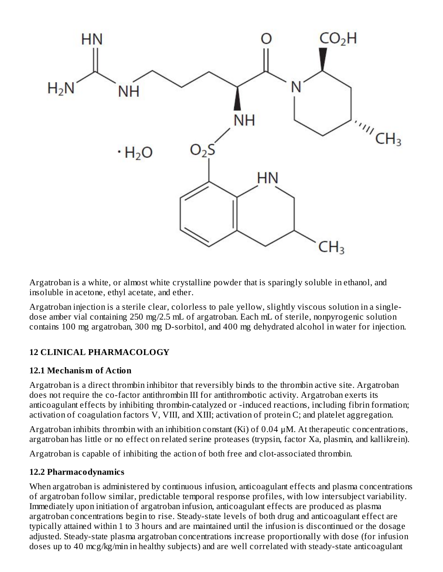

Argatroban is a white, or almost white crystalline powder that is sparingly soluble in ethanol, and insoluble in acetone, ethyl acetate, and ether.

Argatroban injection is a sterile clear, colorless to pale yellow, slightly viscous solution in a singledose amber vial containing 250 mg/2.5 mL of argatroban. Each mL of sterile, nonpyrogenic solution contains 100 mg argatroban, 300 mg D-sorbitol, and 400 mg dehydrated alcohol in water for injection.

# **12 CLINICAL PHARMACOLOGY**

### **12.1 Mechanism of Action**

Argatroban is a direct thrombin inhibitor that reversibly binds to the thrombin active site. Argatroban does not require the co-factor antithrombin III for antithrombotic activity. Argatroban exerts its anticoagulant effects by inhibiting thrombin-catalyzed or -induced reactions, including fibrin formation; activation of coagulation factors V, VIII, and XIII; activation of protein C; and platelet aggregation.

Argatroban inhibits thrombin with an inhibition constant  $(Ki)$  of 0.04  $\mu$ M. At therapeutic concentrations, argatroban has little or no effect on related serine proteases (trypsin, factor Xa, plasmin, and kallikrein).

Argatroban is capable of inhibiting the action of both free and clot-associated thrombin.

### **12.2 Pharmacodynamics**

When argatroban is administered by continuous infusion, anticoagulant effects and plasma concentrations of argatroban follow similar, predictable temporal response profiles, with low intersubject variability. Immediately upon initiation of argatroban infusion, anticoagulant effects are produced as plasma argatroban concentrations begin to rise. Steady-state levels of both drug and anticoagulant effect are typically attained within 1 to 3 hours and are maintained until the infusion is discontinued or the dosage adjusted. Steady-state plasma argatroban concentrations increase proportionally with dose (for infusion doses up to 40 mcg/kg/min in healthy subjects) and are well correlated with steady-state anticoagulant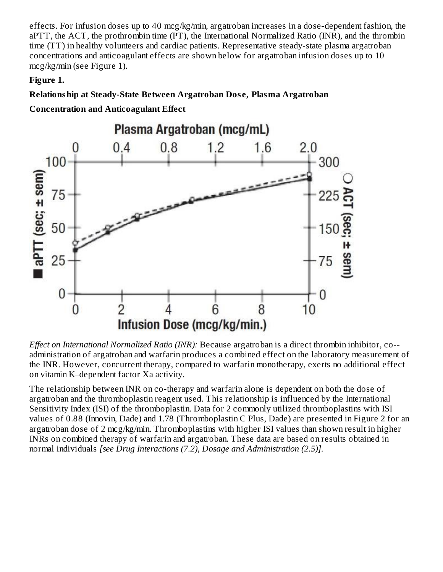effects. For infusion doses up to 40 mcg/kg/min, argatroban increases in a dose-dependent fashion, the aPTT, the ACT, the prothrombin time (PT), the International Normalized Ratio (INR), and the thrombin time (TT) in healthy volunteers and cardiac patients. Representative steady-state plasma argatroban concentrations and anticoagulant effects are shown below for argatroban infusion doses up to 10 mcg/kg/min (see Figure 1).

### **Figure 1.**

# **Relationship at Steady-State Between Argatroban Dos e, Plasma Argatroban**

**Concentration and Anticoagulant Effect**



*Effect on International Normalized Ratio (INR):* Because argatroban is a direct thrombin inhibitor, co- administration of argatroban and warfarin produces a combined effect on the laboratory measurement of the INR. However, concurrent therapy, compared to warfarin monotherapy, exerts no additional effect on vitamin K–dependent factor Xa activity.

The relationship between INR on co-therapy and warfarin alone is dependent on both the dose of argatroban and the thromboplastin reagent used. This relationship is influenced by the International Sensitivity Index (ISI) of the thromboplastin. Data for 2 commonly utilized thromboplastins with ISI values of 0.88 (Innovin, Dade) and 1.78 (Thromboplastin C Plus, Dade) are presented in Figure 2 for an argatroban dose of 2 mcg/kg/min. Thromboplastins with higher ISI values than shown result in higher INRs on combined therapy of warfarin and argatroban. These data are based on results obtained in normal individuals *[see Drug Interactions (7.2), Dosage and Administration (2.5)].*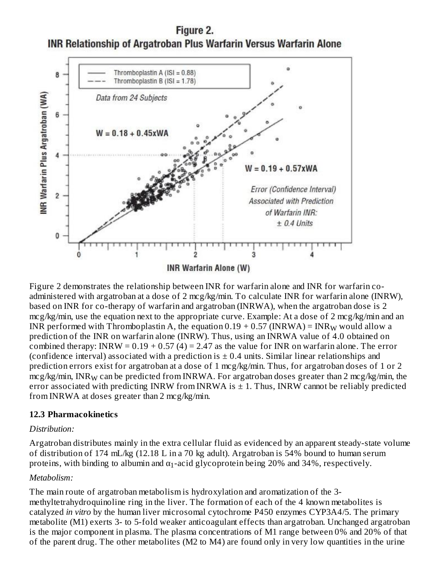Figure 2. **INR Relationship of Argatroban Plus Warfarin Versus Warfarin Alone** 



Figure 2 demonstrates the relationship between INR for warfarin alone and INR for warfarin coadministered with argatroban at a dose of 2 mcg/kg/min. To calculate INR for warfarin alone (INRW), based on INR for co-therapy of warfarin and argatroban (INRWA), when the argatroban dose is 2 mcg/kg/min, use the equation next to the appropriate curve. Example: At a dose of 2 mcg/kg/min and an INR performed with Thromboplastin A, the equation 0.19 + 0.57 (INRWA) = INR<sub>W</sub> would allow a prediction of the INR on warfarin alone (INRW). Thus, using an INRWA value of 4.0 obtained on combined therapy: INRW =  $0.19 + 0.57(4) = 2.47$  as the value for INR on warfarin alone. The error (confidence interval) associated with a prediction is  $\pm$  0.4 units. Similar linear relationships and prediction errors exist for argatroban at a dose of 1 mcg/kg/min. Thus, for argatroban doses of 1 or 2 mcg/kg/min, INR $_{\rm W}$  can be predicted from INRWA. For argatroban doses greater than 2 mcg/kg/min, the error associated with predicting INRW from INRWA is  $\pm$  1. Thus, INRW cannot be reliably predicted from INRWA at doses greater than 2 mcg/kg/min.

#### **12.3 Pharmacokinetics**

#### *Distribution:*

Argatroban distributes mainly in the extra cellular fluid as evidenced by an apparent steady-state volume of distribution of 174 mL/kg (12.18 L in a 70 kg adult). Argatroban is 54% bound to human serum proteins, with binding to albumin and  $\alpha_1$ -acid glycoprotein being 20% and 34%, respectively.

#### *Metabolism:*

The main route of argatroban metabolism is hydroxylation and aromatization of the 3 methyltetrahydroquinoline ring in the liver. The formation of each of the 4 known metabolites is catalyzed *in vitro* by the human liver microsomal cytochrome P450 enzymes CYP3A4/5. The primary metabolite (M1) exerts 3- to 5-fold weaker anticoagulant effects than argatroban. Unchanged argatroban is the major component in plasma. The plasma concentrations of M1 range between 0% and 20% of that of the parent drug. The other metabolites (M2 to M4) are found only in very low quantities in the urine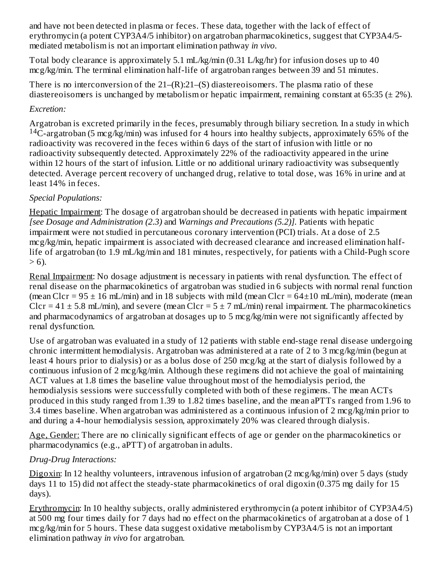and have not been detected in plasma or feces. These data, together with the lack of effect of erythromycin (a potent CYP3A4/5 inhibitor) on argatroban pharmacokinetics, suggest that CYP3A4/5 mediated metabolism is not an important elimination pathway *in vivo*.

Total body clearance is approximately 5.1 mL/kg/min (0.31 L/kg/hr) for infusion doses up to 40 mcg/kg/min. The terminal elimination half-life of argatroban ranges between 39 and 51 minutes.

There is no interconversion of the 21–(R):21–(S) diastereoisomers. The plasma ratio of these diastereoisomers is unchanged by metabolism or hepatic impairment, remaining constant at 65:35 ( $\pm$  2%).

### *Excretion:*

Argatroban is excreted primarily in the feces, presumably through biliary secretion. In a study in which <sup>14</sup>C-argatroban (5 mcg/kg/min) was infused for 4 hours into healthy subjects, approximately 65% of the radioactivity was recovered in the feces within 6 days of the start of infusion with little or no radioactivity subsequently detected. Approximately 22% of the radioactivity appeared in the urine within 12 hours of the start of infusion. Little or no additional urinary radioactivity was subsequently detected. Average percent recovery of unchanged drug, relative to total dose, was 16% in urine and at least 14% in feces.

# *Special Populations:*

Hepatic Impairment: The dosage of argatroban should be decreased in patients with hepatic impairment *[see Dosage and Administration (2.3)* and *Warnings and Precautions (5.2)].* Patients with hepatic impairment were not studied in percutaneous coronary intervention (PCI) trials. At a dose of 2.5 mcg/kg/min, hepatic impairment is associated with decreased clearance and increased elimination halflife of argatroban (to 1.9 mL/kg/min and 181 minutes, respectively, for patients with a Child-Pugh score  $> 6$ ).

Renal Impairment: No dosage adjustment is necessary in patients with renal dysfunction. The effect of renal disease on the pharmacokinetics of argatroban was studied in 6 subjects with normal renal function (mean Clcr =  $95 \pm 16$  mL/min) and in 18 subjects with mild (mean Clcr =  $64\pm 10$  mL/min), moderate (mean Clcr =  $41 \pm 5.8$  mL/min), and severe (mean Clcr =  $5 \pm 7$  mL/min) renal impairment. The pharmacokinetics and pharmacodynamics of argatroban at dosages up to 5 mcg/kg/min were not significantly affected by renal dysfunction.

Use of argatroban was evaluated in a study of 12 patients with stable end-stage renal disease undergoing chronic intermittent hemodialysis. Argatroban was administered at a rate of 2 to 3 mcg/kg/min (begun at least 4 hours prior to dialysis) or as a bolus dose of 250 mcg/kg at the start of dialysis followed by a continuous infusion of 2 mcg/kg/min. Although these regimens did not achieve the goal of maintaining ACT values at 1.8 times the baseline value throughout most of the hemodialysis period, the hemodialysis sessions were successfully completed with both of these regimens. The mean ACTs produced in this study ranged from 1.39 to 1.82 times baseline, and the mean aPTTs ranged from 1.96 to 3.4 times baseline. When argatroban was administered as a continuous infusion of 2 mcg/kg/min prior to and during a 4-hour hemodialysis session, approximately 20% was cleared through dialysis.

Age, Gender: There are no clinically significant effects of age or gender on the pharmacokinetics or pharmacodynamics (e.g., aPTT) of argatroban in adults.

# *Drug-Drug Interactions:*

Digoxin: In 12 healthy volunteers, intravenous infusion of argatroban (2 mcg/kg/min) over 5 days (study days 11 to 15) did not affect the steady-state pharmacokinetics of oral digoxin (0.375 mg daily for 15 days).

Erythromycin: In 10 healthy subjects, orally administered erythromycin (a potent inhibitor of CYP3A4/5) at 500 mg four times daily for 7 days had no effect on the pharmacokinetics of argatroban at a dose of 1 mcg/kg/min for 5 hours. These data suggest oxidative metabolism by CYP3A4/5 is not an important elimination pathway *in vivo* for argatroban.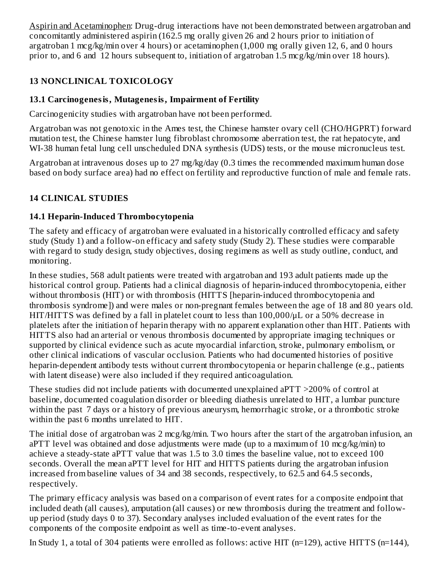Aspirin and Acetaminophen: Drug-drug interactions have not been demonstrated between argatroban and concomitantly administered aspirin (162.5 mg orally given 26 and 2 hours prior to initiation of argatroban 1 mcg/kg/min over 4 hours) or acetaminophen (1,000 mg orally given 12, 6, and 0 hours prior to, and 6 and 12 hours subsequent to, initiation of argatroban 1.5 mcg/kg/min over 18 hours).

# **13 NONCLINICAL TOXICOLOGY**

# **13.1 Carcinogenesis, Mutagenesis, Impairment of Fertility**

Carcinogenicity studies with argatroban have not been performed.

Argatroban was not genotoxic in the Ames test, the Chinese hamster ovary cell (CHO/HGPRT) forward mutation test, the Chinese hamster lung fibroblast chromosome aberration test, the rat hepatocyte, and WI-38 human fetal lung cell unscheduled DNA synthesis (UDS) tests, or the mouse micronucleus test.

Argatroban at intravenous doses up to 27 mg/kg/day (0.3 times the recommended maximum human dose based on body surface area) had no effect on fertility and reproductive function of male and female rats.

# **14 CLINICAL STUDIES**

# **14.1 Heparin-Induced Thrombocytopenia**

The safety and efficacy of argatroban were evaluated in a historically controlled efficacy and safety study (Study 1) and a follow-on efficacy and safety study (Study 2). These studies were comparable with regard to study design, study objectives, dosing regimens as well as study outline, conduct, and monitoring.

In these studies, 568 adult patients were treated with argatroban and 193 adult patients made up the historical control group. Patients had a clinical diagnosis of heparin-induced thrombocytopenia, either without thrombosis (HIT) or with thrombosis (HITTS [heparin-induced thrombocytopenia and thrombosis syndrome]) and were males or non-pregnant females between the age of 18 and 80 years old. HIT/HITTS was defined by a fall in platelet count to less than 100,000/μL or a 50% decrease in platelets after the initiation of heparin therapy with no apparent explanation other than HIT. Patients with HITTS also had an arterial or venous thrombosis documented by appropriate imaging techniques or supported by clinical evidence such as acute myocardial infarction, stroke, pulmonary embolism, or other clinical indications of vascular occlusion. Patients who had documented histories of positive heparin-dependent antibody tests without current thrombocytopenia or heparin challenge (e.g., patients with latent disease) were also included if they required anticoagulation.

These studies did not include patients with documented unexplained aPTT >200% of control at baseline, documented coagulation disorder or bleeding diathesis unrelated to HIT, a lumbar puncture within the past 7 days or a history of previous aneurysm, hemorrhagic stroke, or a thrombotic stroke within the past 6 months unrelated to HIT.

The initial dose of argatroban was 2 mcg/kg/min. Two hours after the start of the argatroban infusion, an aPTT level was obtained and dose adjustments were made (up to a maximum of 10 mcg/kg/min) to achieve a steady-state aPTT value that was 1.5 to 3.0 times the baseline value, not to exceed 100 seconds. Overall the mean aPTT level for HIT and HITTS patients during the argatroban infusion increased from baseline values of 34 and 38 seconds, respectively, to 62.5 and 64.5 seconds, respectively.

The primary efficacy analysis was based on a comparison of event rates for a composite endpoint that included death (all causes), amputation (all causes) or new thrombosis during the treatment and followup period (study days 0 to 37). Secondary analyses included evaluation of the event rates for the components of the composite endpoint as well as time-to-event analyses.

In Study 1, a total of 304 patients were enrolled as follows: active HIT (n=129), active HITTS (n=144),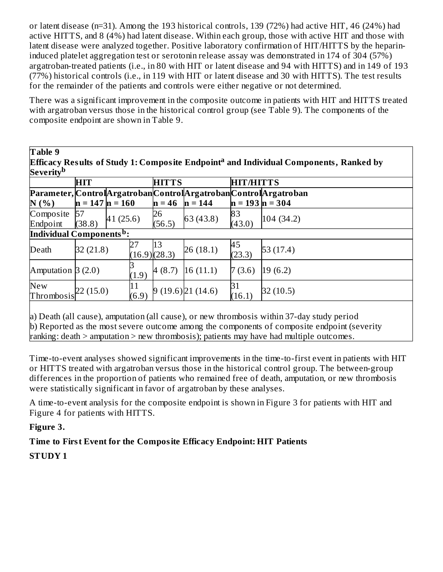or latent disease (n=31). Among the 193 historical controls, 139 (72%) had active HIT, 46 (24%) had active HITTS, and 8 (4%) had latent disease. Within each group, those with active HIT and those with latent disease were analyzed together. Positive laboratory confirmation of HIT/HITTS by the heparininduced platelet aggregation test or serotonin release assay was demonstrated in 174 of 304 (57%) argatroban-treated patients (i.e., in 80 with HIT or latent disease and 94 with HITTS) and in 149 of 193 (77%) historical controls (i.e., in 119 with HIT or latent disease and 30 with HITTS). The test results for the remainder of the patients and controls were either negative or not determined.

There was a significant improvement in the composite outcome in patients with HIT and HITTS treated with argatroban versus those in the historical control group (see Table 9). The components of the composite endpoint are shown in Table 9.

| Efficacy Results of Study 1: Composite Endpoint <sup>a</sup> and Individual Components, Ranked by<br>Severity <sup>b</sup> |                     |          |       |                   |                                                                                    |                     |           |
|----------------------------------------------------------------------------------------------------------------------------|---------------------|----------|-------|-------------------|------------------------------------------------------------------------------------|---------------------|-----------|
|                                                                                                                            | HIT                 |          |       | <b>HITTS</b>      | <b>HIT/HITTS</b><br>Parameter, ControlArgatrobanControlArgatrobanControlArgatroban |                     |           |
|                                                                                                                            |                     |          |       |                   |                                                                                    |                     |           |
| N(%                                                                                                                        | $n = 147$ $n = 160$ |          |       | $\mathbf{n} = 46$ | $n = 144$                                                                          | $n = 193$ $n = 304$ |           |
| Composite                                                                                                                  | 57                  |          |       | 26                |                                                                                    | 83                  |           |
| Endpoint                                                                                                                   | (38.8)              | 41(25.6) |       | (56.5)            | 63 (43.8)                                                                          | (43.0)              | 104(34.2) |
| Individual Components <sup>b</sup> :                                                                                       |                     |          |       |                   |                                                                                    |                     |           |
| Death                                                                                                                      | 32 (21.8)           |          | 27    | 13                | 26(18.1)                                                                           | 45                  | 53(17.4)  |
|                                                                                                                            |                     |          |       | (16.9)(28.3)      |                                                                                    | (23.3)              |           |
|                                                                                                                            |                     |          |       |                   |                                                                                    |                     |           |
| Amputation $3(2.0)$                                                                                                        |                     |          | (1.9) | 4(8.7)            | 16(11.1)                                                                           | 7(3.6)              | 19(6.2)   |
| <b>New</b>                                                                                                                 |                     |          | 11    |                   |                                                                                    | 31                  |           |
| Thrombosis                                                                                                                 | 22(15.0)            |          | (6.9) |                   | 9(19.6)21(14.6)                                                                    | (16.1)              | 32(10.5)  |
|                                                                                                                            |                     |          |       |                   |                                                                                    |                     |           |
| a) Death (all cause), amputation (all cause), or new thrombosis within 37-day study period                                 |                     |          |       |                   |                                                                                    |                     |           |
|                                                                                                                            |                     |          |       |                   |                                                                                    |                     |           |
| b) Reported as the most severe outcome among the components of composite endpoint (severity                                |                     |          |       |                   |                                                                                    |                     |           |
| ranking: death > amputation > new thrombosis); patients may have had multiple outcomes.                                    |                     |          |       |                   |                                                                                    |                     |           |

Time-to-event analyses showed significant improvements in the time-to-first event in patients with HIT or HITTS treated with argatroban versus those in the historical control group. The between-group differences in the proportion of patients who remained free of death, amputation, or new thrombosis were statistically significant in favor of argatroban by these analyses.

A time-to-event analysis for the composite endpoint is shown in Figure 3 for patients with HIT and Figure 4 for patients with HITTS.

**Figure 3.**

# **Time to First Event for the Composite Efficacy Endpoint: HIT Patients**

**STUDY 1**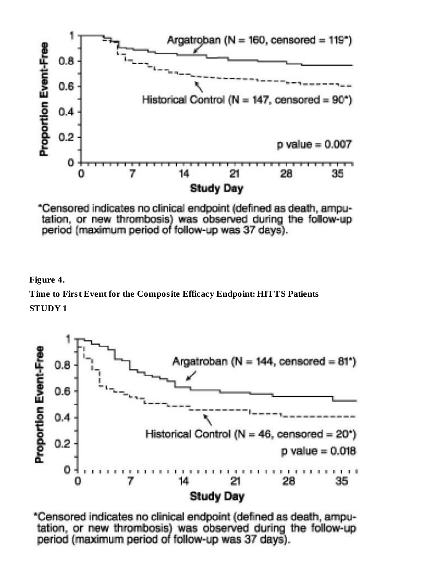

\*Censored indicates no clinical endpoint (defined as death, amputation, or new thrombosis) was observed during the follow-up period (maximum period of follow-up was 37 days).

**Figure 4.**

**Time to First Event for the Composite Efficacy Endpoint: HITTS Patients STUDY 1**



\*Censored indicates no clinical endpoint (defined as death, amputation, or new thrombosis) was observed during the follow-up period (maximum period of follow-up was 37 days).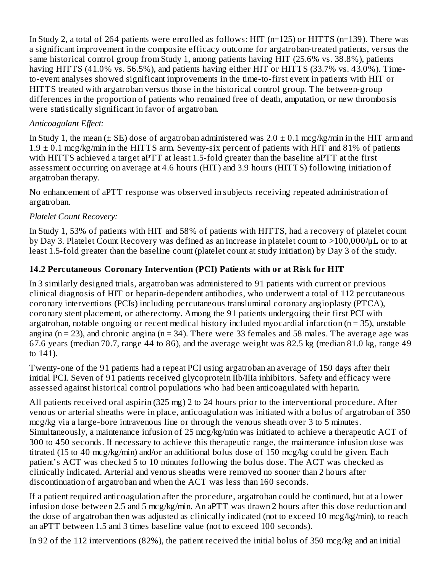In Study 2, a total of 264 patients were enrolled as follows: HIT (n=125) or HITTS (n=139). There was a significant improvement in the composite efficacy outcome for argatroban-treated patients, versus the same historical control group from Study 1, among patients having HIT (25.6% vs. 38.8%), patients having HITTS (41.0% vs. 56.5%), and patients having either HIT or HITTS (33.7% vs. 43.0%). Timeto-event analyses showed significant improvements in the time-to-first event in patients with HIT or HITTS treated with argatroban versus those in the historical control group. The between-group differences in the proportion of patients who remained free of death, amputation, or new thrombosis were statistically significant in favor of argatroban.

# *Anticoagulant Effect:*

In Study 1, the mean ( $\pm$  SE) dose of argatroban administered was  $2.0 \pm 0.1$  mcg/kg/min in the HIT arm and  $1.9 \pm 0.1$  mcg/kg/min in the HITTS arm. Seventy-six percent of patients with HIT and 81% of patients with HITTS achieved a target aPTT at least 1.5-fold greater than the baseline aPTT at the first assessment occurring on average at 4.6 hours (HIT) and 3.9 hours (HITTS) following initiation of argatroban therapy.

No enhancement of aPTT response was observed in subjects receiving repeated administration of argatroban.

# *Platelet Count Recovery:*

In Study 1, 53% of patients with HIT and 58% of patients with HITTS, had a recovery of platelet count by Day 3. Platelet Count Recovery was defined as an increase in platelet count to >100,000/μL or to at least 1.5-fold greater than the baseline count (platelet count at study initiation) by Day 3 of the study.

# **14.2 Percutaneous Coronary Intervention (PCI) Patients with or at Risk for HIT**

In 3 similarly designed trials, argatroban was administered to 91 patients with current or previous clinical diagnosis of HIT or heparin-dependent antibodies, who underwent a total of 112 percutaneous coronary interventions (PCIs) including percutaneous transluminal coronary angioplasty (PTCA), coronary stent placement, or atherectomy. Among the 91 patients undergoing their first PCI with argatroban, notable ongoing or recent medical history included myocardial infarction  $(n = 35)$ , unstable angina ( $n = 23$ ), and chronic angina ( $n = 34$ ). There were 33 females and 58 males. The average age was 67.6 years (median 70.7, range 44 to 86), and the average weight was 82.5 kg (median 81.0 kg, range 49 to 141).

Twenty-one of the 91 patients had a repeat PCI using argatroban an average of 150 days after their initial PCI. Seven of 91 patients received glycoprotein IIb/IIIa inhibitors. Safety and efficacy were assessed against historical control populations who had been anticoagulated with heparin.

All patients received oral aspirin (325 mg) 2 to 24 hours prior to the interventional procedure. After venous or arterial sheaths were in place, anticoagulation was initiated with a bolus of argatroban of 350 mcg/kg via a large-bore intravenous line or through the venous sheath over 3 to 5 minutes. Simultaneously, a maintenance infusion of 25 mcg/kg/min was initiated to achieve a therapeutic ACT of 300 to 450 seconds. If necessary to achieve this therapeutic range, the maintenance infusion dose was titrated (15 to 40 mcg/kg/min) and/or an additional bolus dose of 150 mcg/kg could be given. Each patient's ACT was checked 5 to 10 minutes following the bolus dose. The ACT was checked as clinically indicated. Arterial and venous sheaths were removed no sooner than 2 hours after discontinuation of argatroban and when the ACT was less than 160 seconds.

If a patient required anticoagulation after the procedure, argatroban could be continued, but at a lower infusion dose between 2.5 and 5 mcg/kg/min. An aPTT was drawn 2 hours after this dose reduction and the dose of argatroban then was adjusted as clinically indicated (not to exceed 10 mcg/kg/min), to reach an aPTT between 1.5 and 3 times baseline value (not to exceed 100 seconds).

In 92 of the 112 interventions (82%), the patient received the initial bolus of 350 mcg/kg and an initial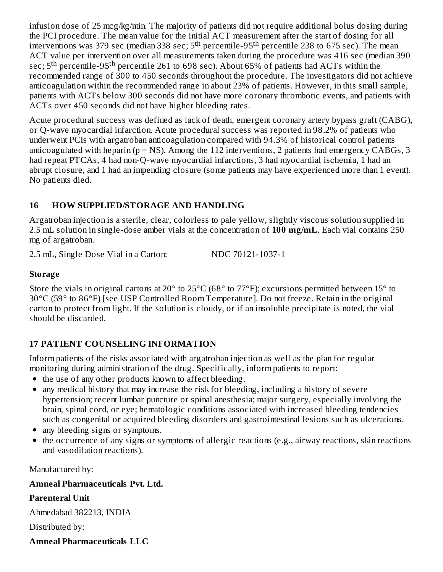infusion dose of 25 mcg/kg/min. The majority of patients did not require additional bolus dosing during the PCI procedure. The mean value for the initial ACT measurement after the start of dosing for all interventions was 379 sec (median 338 sec; 5<sup>th</sup> percentile-95<sup>th</sup> percentile 238 to 675 sec). The mean ACT value per intervention over all measurements taken during the procedure was 416 sec (median 390 sec;  $5^{\text{th}}$  percentile-95<sup>th</sup> percentile 261 to 698 sec). About 65% of patients had ACTs within the recommended range of 300 to 450 seconds throughout the procedure. The investigators did not achieve anticoagulation within the recommended range in about 23% of patients. However, in this small sample, patients with ACTs below 300 seconds did not have more coronary thrombotic events, and patients with ACTs over 450 seconds did not have higher bleeding rates.

Acute procedural success was defined as lack of death, emergent coronary artery bypass graft (CABG), or Q-wave myocardial infarction. Acute procedural success was reported in 98.2% of patients who underwent PCIs with argatroban anticoagulation compared with 94.3% of historical control patients anticoagulated with heparin ( $p = NS$ ). Among the 112 interventions, 2 patients had emergency CABGs, 3 had repeat PTCAs, 4 had non-Q-wave myocardial infarctions, 3 had myocardial ischemia, 1 had an abrupt closure, and 1 had an impending closure (some patients may have experienced more than 1 event). No patients died.

# **16 HOW SUPPLIED/STORAGE AND HANDLING**

Argatroban injection is a sterile, clear, colorless to pale yellow, slightly viscous solution supplied in 2.5 mL solution in single-dose amber vials at the concentration of **100 mg/mL**. Each vial contains 250 mg of argatroban.

2.5 mL, Single Dose Vial in a Carton: NDC 70121-1037-1

### **Storage**

Store the vials in original cartons at 20° to 25°C (68° to 77°F); excursions permitted between 15° to 30°C (59° to 86°F) [see USP Controlled Room Temperature]. Do not freeze. Retain in the original carton to protect from light. If the solution is cloudy, or if an insoluble precipitate is noted, the vial should be discarded.

# **17 PATIENT COUNSELING INFORMATION**

Inform patients of the risks associated with argatroban injection as well as the plan for regular monitoring during administration of the drug. Specifically, inform patients to report:

- the use of any other products known to affect bleeding.
- any medical history that may increase the risk for bleeding, including a history of severe hypertension; recent lumbar puncture or spinal anesthesia; major surgery, especially involving the brain, spinal cord, or eye; hematologic conditions associated with increased bleeding tendencies such as congenital or acquired bleeding disorders and gastrointestinal lesions such as ulcerations.
- any bleeding signs or symptoms.
- the occurrence of any signs or symptoms of allergic reactions (e.g., airway reactions, skin reactions and vasodilation reactions).

Manufactured by:

# **Amneal Pharmaceuticals Pvt. Ltd.**

# **Parenteral Unit**

Ahmedabad 382213, INDIA

Distributed by:

# **Amneal Pharmaceuticals LLC**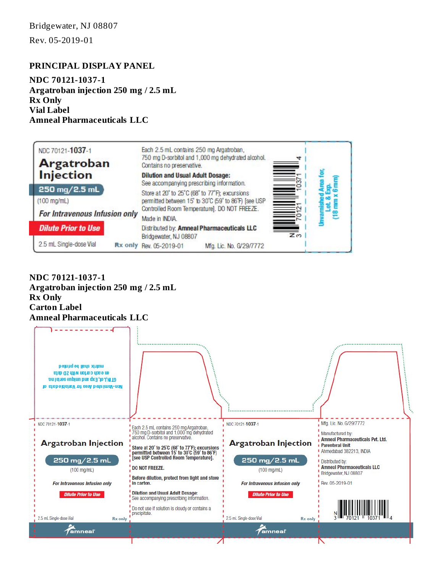Rev. 05-2019-01

#### **PRINCIPAL DISPLAY PANEL**

**NDC 70121-1037-1 Argatroban injection 250 mg / 2.5 mL Rx Only Vial Label Amneal Pharmaceuticals LLC**



**NDC 70121-1037-1 Argatroban injection 250 mg / 2.5 mL Rx Only Carton Label Amneal Pharmaceuticals LLC**

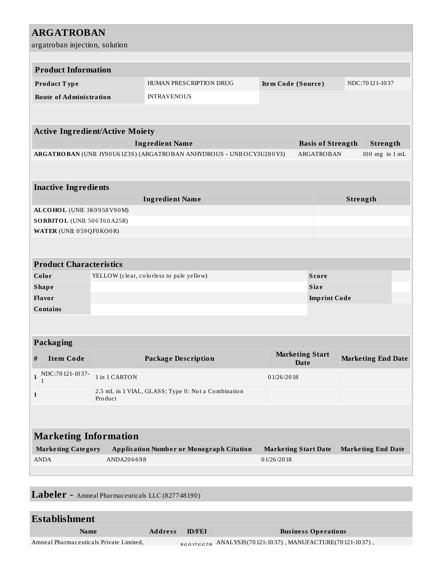| <b>ARGATROBAN</b>                                                      |                                                          |                                                    |                             |  |                     |                           |  |  |  |
|------------------------------------------------------------------------|----------------------------------------------------------|----------------------------------------------------|-----------------------------|--|---------------------|---------------------------|--|--|--|
| argatroban injection, solution                                         |                                                          |                                                    |                             |  |                     |                           |  |  |  |
| <b>Product Information</b>                                             |                                                          |                                                    |                             |  |                     |                           |  |  |  |
|                                                                        |                                                          |                                                    |                             |  |                     |                           |  |  |  |
| Product Type                                                           |                                                          | HUMAN PRESCRIPTION DRUG                            | Item Code (Source)          |  |                     | NDC:70121-1037            |  |  |  |
| <b>Route of Administration</b>                                         |                                                          | <b>INTRAVENOUS</b>                                 |                             |  |                     |                           |  |  |  |
|                                                                        |                                                          |                                                    |                             |  |                     |                           |  |  |  |
| <b>Active Ingredient/Active Moiety</b>                                 |                                                          |                                                    |                             |  |                     |                           |  |  |  |
|                                                                        | <b>Basis of Strength</b><br>Strength                     |                                                    |                             |  |                     |                           |  |  |  |
| ARGATROBAN (UNII: IY90U61Z3S) (ARGATROBAN ANHYDROUS - UNII:OCY3U280Y3) | ARGATROBAN<br>$100$ mg in $1$ mL                         |                                                    |                             |  |                     |                           |  |  |  |
|                                                                        |                                                          |                                                    |                             |  |                     |                           |  |  |  |
|                                                                        |                                                          |                                                    |                             |  |                     |                           |  |  |  |
| <b>Inactive Ingredients</b><br><b>Ingredient Name</b>                  |                                                          |                                                    |                             |  |                     |                           |  |  |  |
| ALCOHOL (UNII: 3K9958V90M)                                             |                                                          | Strength                                           |                             |  |                     |                           |  |  |  |
| SORBITOL (UNII: 506T60A25R)                                            |                                                          |                                                    |                             |  |                     |                           |  |  |  |
| WATER (UNII: 059 QF0 KO0R)                                             |                                                          |                                                    |                             |  |                     |                           |  |  |  |
|                                                                        |                                                          |                                                    |                             |  |                     |                           |  |  |  |
|                                                                        |                                                          |                                                    |                             |  |                     |                           |  |  |  |
| <b>Product Characteristics</b>                                         |                                                          |                                                    |                             |  |                     |                           |  |  |  |
| Color                                                                  | YELLOW (clear, colorless to pale yellow)<br><b>Score</b> |                                                    |                             |  |                     |                           |  |  |  |
| <b>Shape</b>                                                           | <b>Size</b>                                              |                                                    |                             |  |                     |                           |  |  |  |
| Flavor                                                                 |                                                          |                                                    |                             |  | <b>Imprint Code</b> |                           |  |  |  |
| <b>Contains</b>                                                        |                                                          |                                                    |                             |  |                     |                           |  |  |  |
|                                                                        |                                                          |                                                    |                             |  |                     |                           |  |  |  |
| <b>Packaging</b>                                                       |                                                          |                                                    |                             |  |                     |                           |  |  |  |
|                                                                        |                                                          |                                                    | <b>Marketing Start</b>      |  |                     |                           |  |  |  |
| <b>Item Code</b><br>$\#$                                               |                                                          | <b>Package Description</b>                         | <b>Date</b>                 |  |                     | <b>Marketing End Date</b> |  |  |  |
| NDC:70121-1037-<br>$\mathbf{1}$                                        | 1 in 1 CARTON                                            |                                                    | 01/26/2018                  |  |                     |                           |  |  |  |
| 1                                                                      | Product                                                  | 2.5 mL in 1 VIAL, GLASS; Type 0: Not a Combination |                             |  |                     |                           |  |  |  |
|                                                                        |                                                          |                                                    |                             |  |                     |                           |  |  |  |
|                                                                        |                                                          |                                                    |                             |  |                     |                           |  |  |  |
| <b>Marketing Information</b>                                           |                                                          |                                                    |                             |  |                     |                           |  |  |  |
| <b>Marketing Category</b>                                              |                                                          | <b>Application Number or Monograph Citation</b>    | <b>Marketing Start Date</b> |  |                     | <b>Marketing End Date</b> |  |  |  |
| <b>ANDA</b>                                                            | ANDA206698                                               |                                                    | 01/26/2018                  |  |                     |                           |  |  |  |
|                                                                        |                                                          |                                                    |                             |  |                     |                           |  |  |  |
|                                                                        |                                                          |                                                    |                             |  |                     |                           |  |  |  |

**Labeler -** Amneal Pharmaceuticals LLC (827748190)

| Establishment                           |                |               |                            |  |  |  |  |
|-----------------------------------------|----------------|---------------|----------------------------|--|--|--|--|
| Name                                    | <b>Address</b> | <b>ID/FEI</b> | <b>Business Operations</b> |  |  |  |  |
| Amneal Pharmaceuticals Private Limited, |                |               |                            |  |  |  |  |